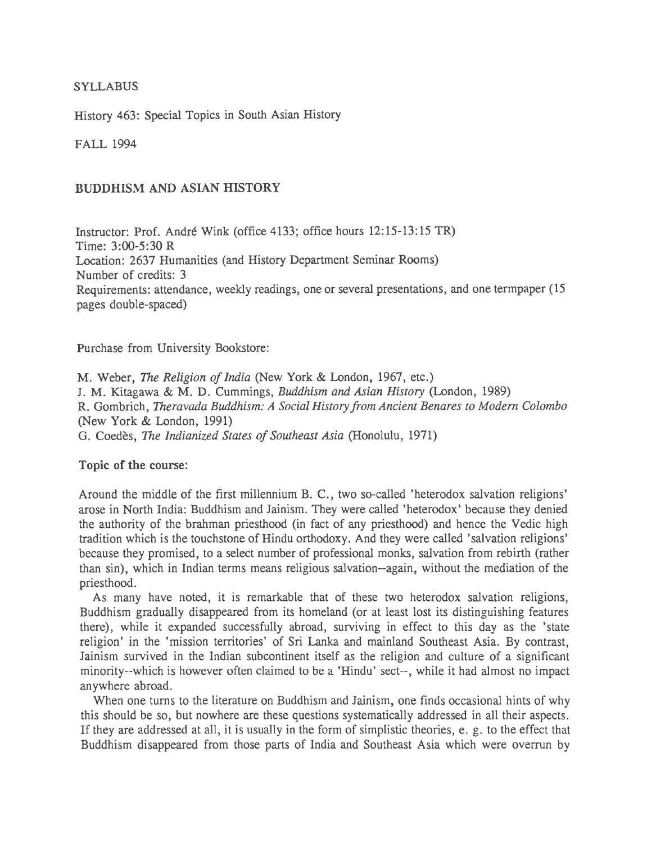## **SYLLABUS**

History 463: Special Topics in South Asian History

FALL 1994

# BUDDHISM AND ASIAN HISTORY

Instructor: Prof. Andre Wink (office 4133; office hours 12:15-13:15 TR) Time: 3:00-5:30 R Location: 2637 Humanities (and History Department Seminar Rooms) Number of credits: 3 Requirements: attendance, weekly readings, one or several presentations, and one term paper (15) pages double-spaced)

Purchase from University Bookstore:

M. Weber, *The Religion of India* (New York & London, 1967, etc.) J. M. Kitagawa & M. D. Cummings, *Buddhism and Asian History* (London, 1989) R. Gombrich, *Theravada Buddhism: A Social History from Ancient Benares to Modem Colombo*  (New York & London, 1991) G. Coedes, *The lndianized States of Southeast Asia* (Honolulu, 1971)

Topic of the course:

Around the middle of the first millennium B. C., two so-called 'heterodox salvation religions' arose in North India: Buddhism and Jainism. They were called 'heterodox' because they denied the authority of the brahman priesthood (in fact of any priesthood) and hence the Vedic high tradition which is the touchstone of Hindu orthodoxy. And they were called 'salvation religions' because they promised, to a select number of professional monks, salvation from rebirth (rather than sin), which in Indian terms means religious salvation--again, without the mediation of the priesthood.

As many have noted, it is remarkable that of these two heterodox salvation religions, Buddhism gradually disappeared from its homeland (or at least lost its distinguishing features there), while it expanded successfully abroad, surviving in effect to this day as the 'state religion' in the 'mission territories' of Sri Lanka and mainland Southeast Asia. By contrast, Jainism survived in the Indian subcontinent itself as the religion and culture of a significant minority--which is however often claimed to be a 'Hindu' sect--, while it had almost no impact anywhere abroad.

When one turns to the literature on Buddhism and Jainism, one finds occasional hints of why this should be so, but nowhere are these questions systematically addressed in all their aspects. If they are addressed at all, it is usually in the form of simplistic theories, e. g. to the effect that Buddhism disappeared from those parts of India and Southeast Asia which were overrun by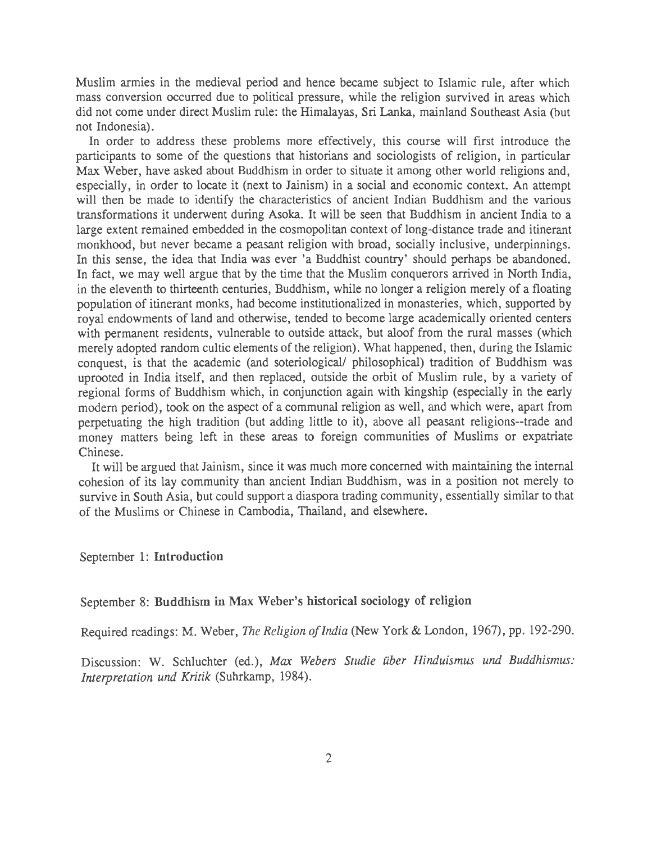Muslim armies in the medieval period and hence became subject to Islamic rule, after which mass conversion occurred due to political pressure, while the religion survived in areas which did not come under direct Muslim rule: the Himalayas, Sri Lanka, mainland Southeast Asia (but not Indonesia).

In order to address these problems more effectively, this course will first introduce the participants to some of the questions that historians and sociologists of religion, in particular Max Weber, have asked about Buddhism in order to situate it among other world religions and, especially, in order to locate it (next to Jainism) in a social and economic context. An attempt will then be made to identify the characteristics of ancient Indian Buddhism and the various transformations it underwent during Asoka. It will be seen that Buddhism in ancient India to a large extent remained embedded in the cosmopolitan context of long-distance trade and itinerant monkhood, but never became a peasant religion with broad, socially inclusive, underpinnings. In this sense, the idea that India was ever 'a Buddhist country' should perhaps be abandoned. In fact, we may well argue that by the time that the Muslim conquerors arrived in North India, in the eleventh to thirteenth centuries, Buddhism, while no longer a religion merely of a floating population of itinerant monks, had become institutionalized in monasteries, which, supported by royal endowments of land and otherwise, tended to become large academically oriented centers with permanent residents, vulnerable to outside attack, but aloof from the rural masses (which merely adopted random cultic elements of the religion). What happened, then, during the Islamic conquest, is that the academic (and soteriological/ philosophical) tradition of Buddhism was uprooted in India itself, and then replaced, outside the orbit of Muslim rule, by a variety of regional forms of Buddhism which, in conjunction again with kingship (especially in the early modem period), took on the aspect of a communal religion as well, and which were, apart from perpetuating the high tradition (but adding little to it), above all peasant religions--trade and money matters being left in these areas to foreign communities of Muslims or expatriate Chinese.

It will be argued that Jainism, since it was much more concerned with maintaining the internal cohesion of its lay community than ancient Indian Buddhism, was in a position not merely to survive in South Asia, but could support a diaspora trading community, essentially similar to that of the Muslims or Chinese in Cambodia, Thailand, and elsewhere.

#### September 1: Introduction

# September 8: Buddhism in Max Weber's historical sociology of religion

Required readings: M. Weber, *The Religion of India* (New York & London, 1967), pp. 192-290.

Discussion: W. Schluchter (ed.), *Max Webers Studie uber Hinduismus und Buddhismus: Interpretation und Kritik* (Suhrkamp, 1984).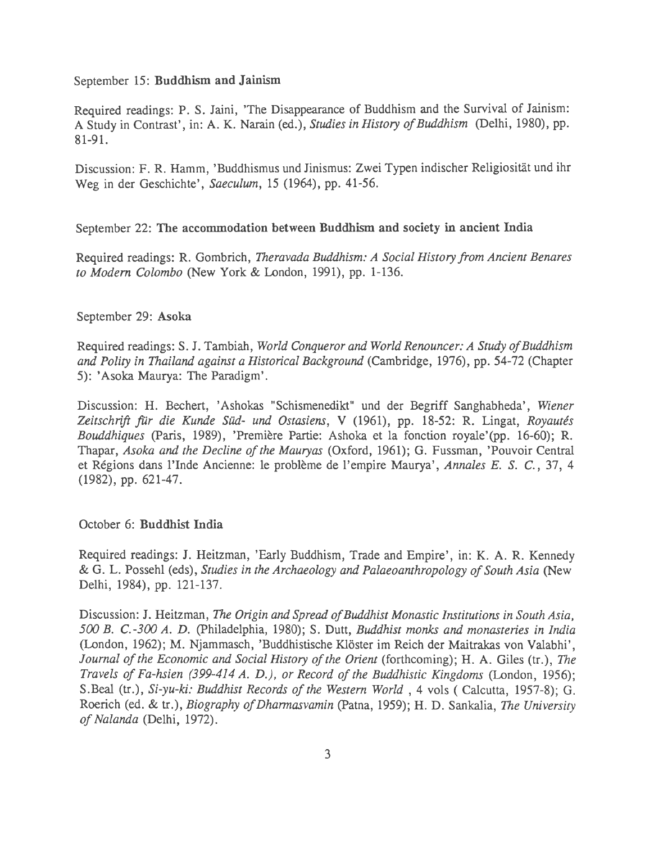#### September 15: Buddhism and Jainism

Required readings: P. S. Jaini, 'The Disappearance of Buddhism and the Survival of Jainism: A Study in Contrast', in: A. K. Narain (ed.), *Studies in History of Buddhism* (Delhi, 1980), pp. 81-91.

Discussion: F. R. Hamm, 'Buddhismus und Jinismus: Zwei Typen indischer Religiositat und ihr Weg in der Geschichte', *Saeculum,* 15 (1964), pp. 41-56.

## September 22: The accommodation between Buddhism and society in ancient India

Required readings: R. Gombrich, *Theravada Buddhism: A Social History from Ancient Benares to Modem Colombo* (New York & London, 1991), pp. 1-136.

### September 29: Asoka

Required readings: S. J. Tambiah, *World Conqueror and World Renouncer: A Study of Buddhism and Polity in Thailand against a Historical Background* (Cambridge, 1976), pp. 54-72 (Chapter 5): 'Asoka Maurya: The Paradigm' .

Discussion: H. Bechert, 'Ashokas "Schismenedikt" und der Begriff Sanghabheda', *Wiener*  Zeitschrift für die Kunde Süd- und Ostasiens, V (1961), pp. 18-52: R. Lingat, *Royautés Bouddhiques* (Paris, 1989), 'Premiere Partie: Ashoka et la fonction royale'(pp. 16-60); R. Thapar, *Asoka and the Decline of the Mauryas* (Oxford, 1961); G. Fussman, 'Pouvoir Central et Regions dans l'Inde Ancienne: le probleme de !'empire Maurya', *Annales E. S.* C., 37, 4 (1982), pp. 621-47.

### October 6: Buddhist India

Required readings: J. Heitzman, 'Early Buddhism, Trade and Empire', in: K. A. R. Kennedy & G. L. Possehl (eds), *Studies in the Archaeology and Palaeoanthropology of South Asia* (New Delhi, 1984), pp. 121-137.

Discussion: J. Heitzman, *The Origin and Spread of Buddhist Monastic Institutions in South Asia, 500 B. C.-300 A. D.* (Philadelphia, 1980); S. Dutt, *Buddhist monks and monasteries in India*  (London, 1962); M. Njammasch, 'Buddhistische Klöster im Reich der Maitrakas von Valabhi', *Journal of the Economic and Social History of the Orient (forthcoming); H. A. Giles (tr.), The Travels of Fa-hsien (399-414 A. D.), or Record of the Buddhistic Kingdoms* (London, 1956); S.Beal (tr.), *Si-yu-ki: Buddhist Records of the Western World* , 4 vols ( Calcutta, 1957-8); G. Roerich (ed. & tr.), *Biography of Dharmasvamin* (Patna, 1959); H. D. Sankalia, *The University of Nalanda* (Delhi, 1972).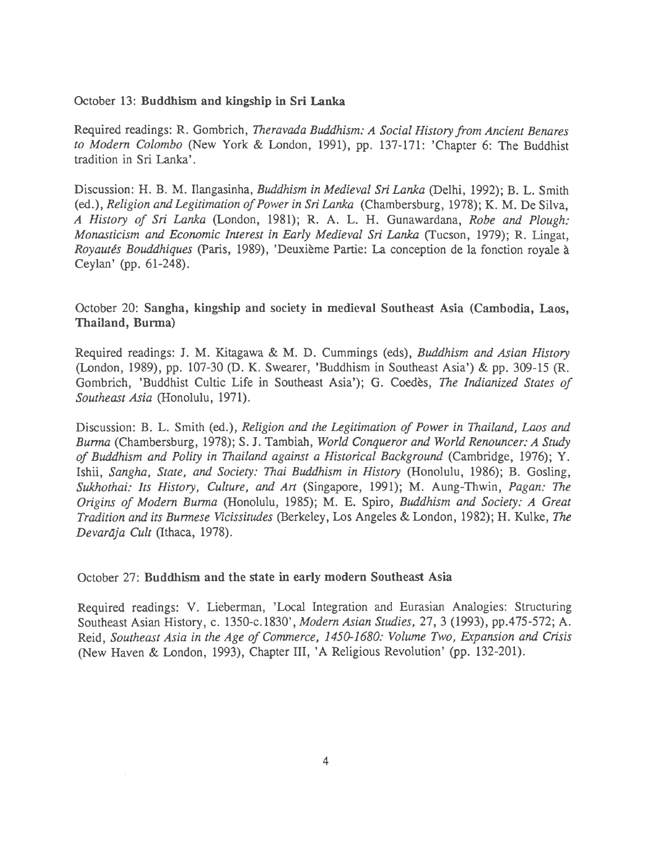#### October 13: Buddhism and kingship in Sri Lanka

Required readings: R. Gombrich, *Theravada Buddhism: A Social History from Ancient Benares to Modem Colombo* (New York & London, 1991), pp. 137-171: 'Chapter 6: The Buddhist tradition in Sri Lanka'.

Discussion: H. B. M. Ilangasinha, *Buddhism in Medieval Sri Lanka* (Delhi, 1992); B. L. Smith (ed.), *Religion and Legitimation of Power in Sri Lanka* (Chambersburg, 1978); K. M. De Silva, *A History of Sri Lanka* (London, 1981); R. A. L. H. Gunawardana, *Robe and Plough: Monasticism and Economic Interest in Early Medieval Sri Lanka* (Tucson, 1979); R. Lingat, *Royautes Bouddhiques* (Paris, 1989), 'Deuxieme Partie: La conception de la fonction royale a Ceylan' (pp. 61-248).

# October 20: Sangha, kingship and society in medieval Southeast Asia (Cambodia, Laos, Thailand, Burma)

Required readings: J. M. Kitagawa & M. D. Cummings (eds), *Buddhism and Asian History*  (London, 1989), pp. 107-30 (D. K. Swearer, 'Buddhism in Southeast Asia') & pp. 309-15 (R. Gombrich, 'Buddhist Cultic Life in Southeast Asia'); G. Coedes, *The Indianized States of Southeast Asia* (Honolulu, 1971).

Discussion: B. L. Smith (ed.), *Religion and the Legitimation of Power in Thailand, Laos and Burma* (Chambersburg, 1978); S. J. Tambiah, *World Conqueror and World Renouncer: A Study of Buddhism and Polity in Thailand against a Historical Background* (Cambridge, 1976); Y. Ishii, *Sangha, State, and Society: Thai Buddhism in History* (Honolulu, 1986); B. Gosling, *Sukhothai: Its History, Culture, and Art* (Singapore, 1991); M. Aung-Thwin, *Pagan: The Origins of Modem Burma* (Honolulu, 1985); M. E. Spiro, *Buddhism and Society: A Great Tradition and its Burmese Vicissitudes* (Berkeley, Los Angeles & London, 1982); H. Kulke, *The Devaraja Cult* (Ithaca, 1978).

#### October 27: Buddhism and the state in early modern Southeast Asia ·

Required readings: V. Lieberman, 'Local Integration and Eurasian Analogies: Structuring Southeast Asian History, c. 1350-c.l830', *Modem Asian Studies,* 27, 3 (1993), pp.475-572; A. Reid, *Southeast Asia in the Age of Commerce, 1450-1680: Volume Two, Expansion and Crisis*  (New Haven & London, 1993), Chapter ill, 'A Religious Revolution' (pp. 132-201).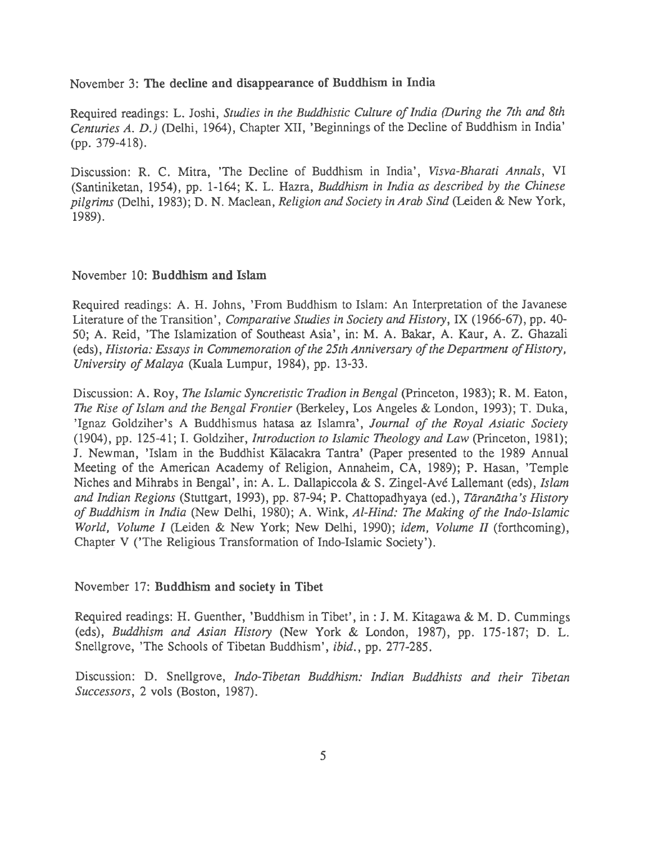November 3: The decline and disappearance of Buddhism in India

Required readings: L. Joshi, *Studies in the Buddhistic Culture of India (During the 7th and 8th Centuries A. D.)* (Delhi, 1964), Chapter XII, 'Beginnings of the Decline of Buddhism in India' (pp. 379-418).

Discussion: R. C. Mitra, 'The Decline of Buddhism in India', *Visva-Bharati Annals,* VI (Santiniketan, 1954), pp. 1-164; K. L. Hazra, *Buddhism in India as described by the Chinese pilgrims* (Delhi, 1983); D. N. Maclean, *Religion and Society in Arab Sind* (Leiden & New York, 1989).

### November 10: Buddhism and Islam

Required readings: A. H. Johns, 'From Buddhism to Islam: An Interpretation of the Javanese Literature of the Transition', *Comparative Studies in Society and History,* IX (1966-67), pp. 40- 50; A. Reid, 'The Islamization of Southeast Asia', in: M. A. Bakar, A. Kaur, A. Z. Ghazali (eds), *Historia: Essays in Commemoration of the 25th Anniversary of the Department of History, University of Malaya* (Kuala Lumpur, 1984), pp. 13-33.

Discussion: A. Roy, *The Islamic Syncretistic Tradion in Bengal* (Princeton, 1983); R. M. Eaton, *The Rise of Islam and the Bengal Frontier* (Berkeley, Los Angeles & London, 1993); T. Duka, 'Ignaz Goldziher's A Buddhismus hatasa az Islamra', *Journal of the Royal Asiatic Society*  (1904), pp. 125-41; I. Goldziher, *Introduction to Islamic Theology and Law* (Princeton, 1981); J. Newman, 'Islam in the Buddhist Kalacakra Tantra' (Paper presented to the 1989 Annual Meeting of the American Academy of Religion, Annaheim, CA, 1989); P. Hasan, 'Temple Niches and Mihrabs in Bengal', in: A. L. Dallapiccola & S. Zingel-Ave Lallemant (eds), *Islam and Indian Regions* (Stuttgart, 1993), pp. 87-94; P. Chattopadhyaya (ed.), *Taramitha's History of Buddhism in India* (New Delhi, 1980); A. Wink, *Al-Hind: The Making of the Indo-Islamic World, Volume I* (Leiden & New York; New Delhi, 1990); *idem, Volume II* (forthcoming), Chapter V ('The Religious Transformation of Indo-Islamic Society').

November 17: Buddhism and society in Tibet

Required readings: H. Guenther, 'Buddhism in Tibet', in: J. M. Kitagawa & M.D. Cummings (eds), *Buddhism and Asian History* (New York & London, 1987), pp. 175-187; D. L. Snellgrove, 'The Schools of Tibetan Buddhism', *ibid.,* pp. 277-285.

Discussion: D. Snellgrove, *Indo-Tibetan Buddhism: Indian Buddhists and their Tibetan Successors,* 2 vols (Boston, 1987).